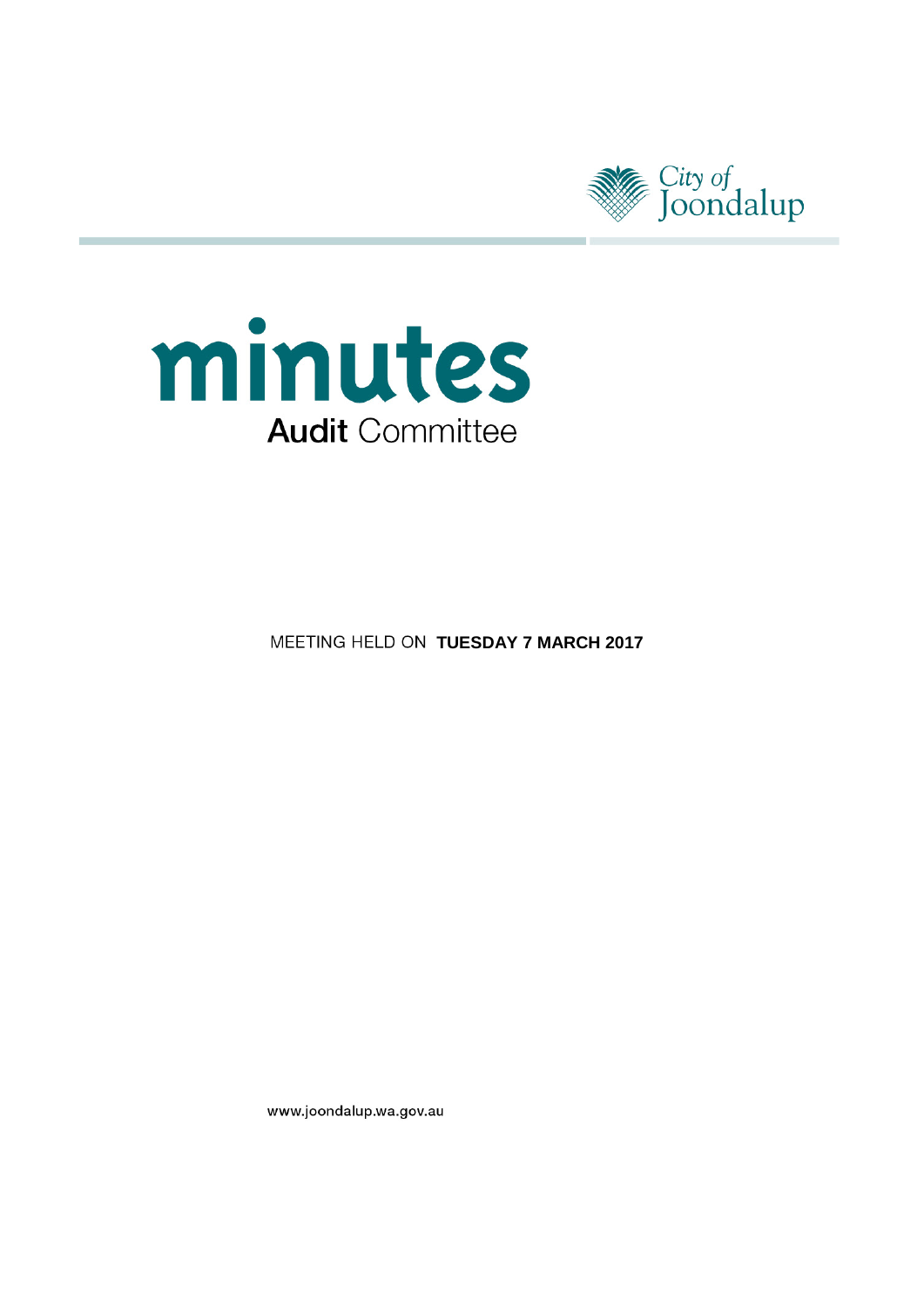



**MEETING HELD ON TUESDAY 7 MARCH 2017** 

www.joondalup.wa.gov.au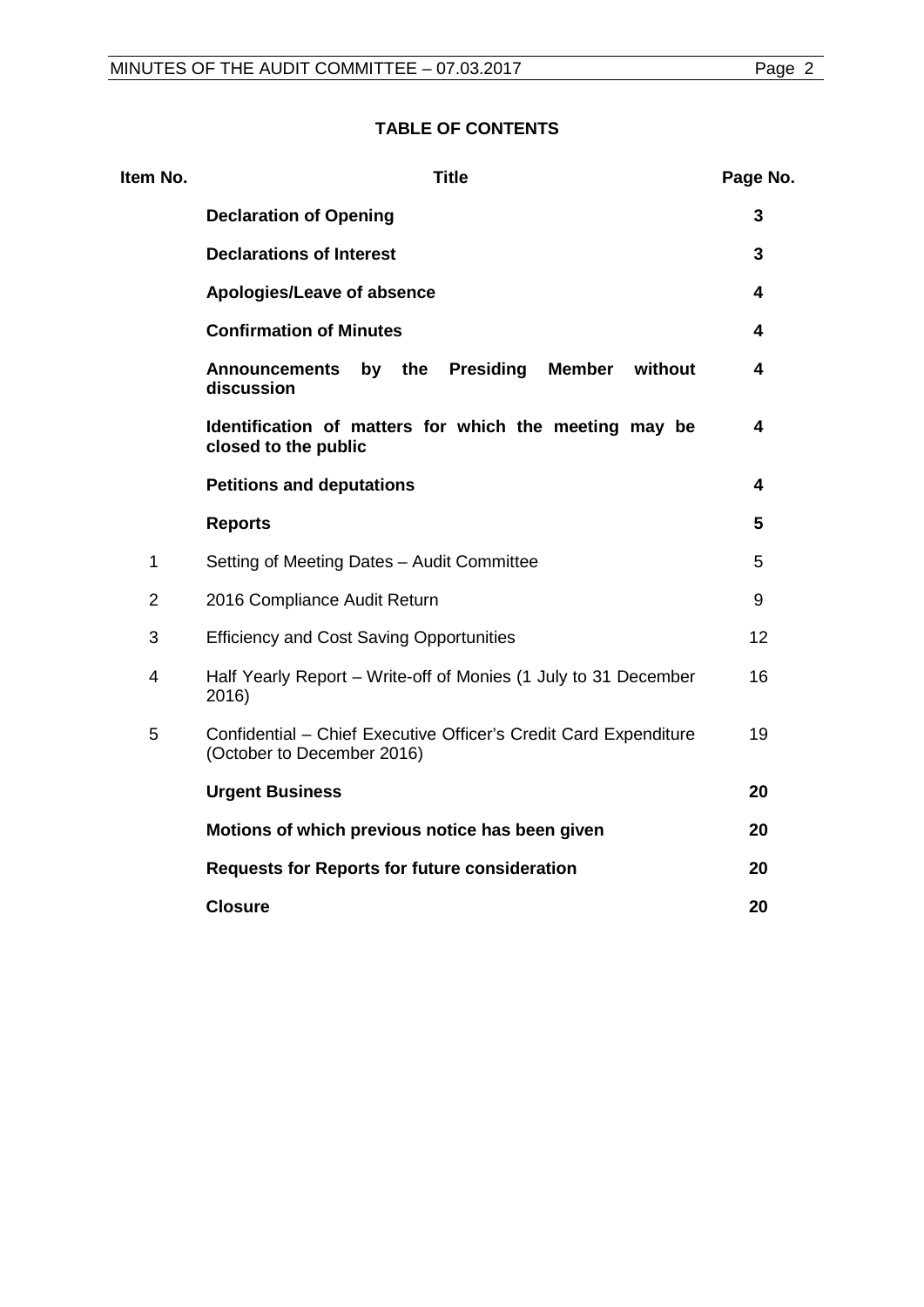| Item No.       | <b>Title</b>                                                                                    | Page No. |
|----------------|-------------------------------------------------------------------------------------------------|----------|
|                | <b>Declaration of Opening</b>                                                                   | 3        |
|                | <b>Declarations of Interest</b>                                                                 | 3        |
|                | Apologies/Leave of absence                                                                      | 4        |
|                | <b>Confirmation of Minutes</b>                                                                  | 4        |
|                | <b>Presiding</b><br><b>Member</b><br>without<br>the<br><b>Announcements</b><br>by<br>discussion | 4        |
|                | Identification of matters for which the meeting may be<br>closed to the public                  | 4        |
|                | <b>Petitions and deputations</b>                                                                | 4        |
|                | <b>Reports</b>                                                                                  | 5        |
| 1              | Setting of Meeting Dates - Audit Committee                                                      | 5        |
| $\overline{2}$ | 2016 Compliance Audit Return                                                                    | 9        |
| 3              | <b>Efficiency and Cost Saving Opportunities</b>                                                 | 12       |
| $\overline{4}$ | Half Yearly Report - Write-off of Monies (1 July to 31 December<br>2016)                        | 16       |
| 5              | Confidential - Chief Executive Officer's Credit Card Expenditure<br>(October to December 2016)  | 19       |
|                | <b>Urgent Business</b>                                                                          | 20       |
|                | Motions of which previous notice has been given                                                 | 20       |
|                | <b>Requests for Reports for future consideration</b>                                            | 20       |
|                | <b>Closure</b>                                                                                  | 20       |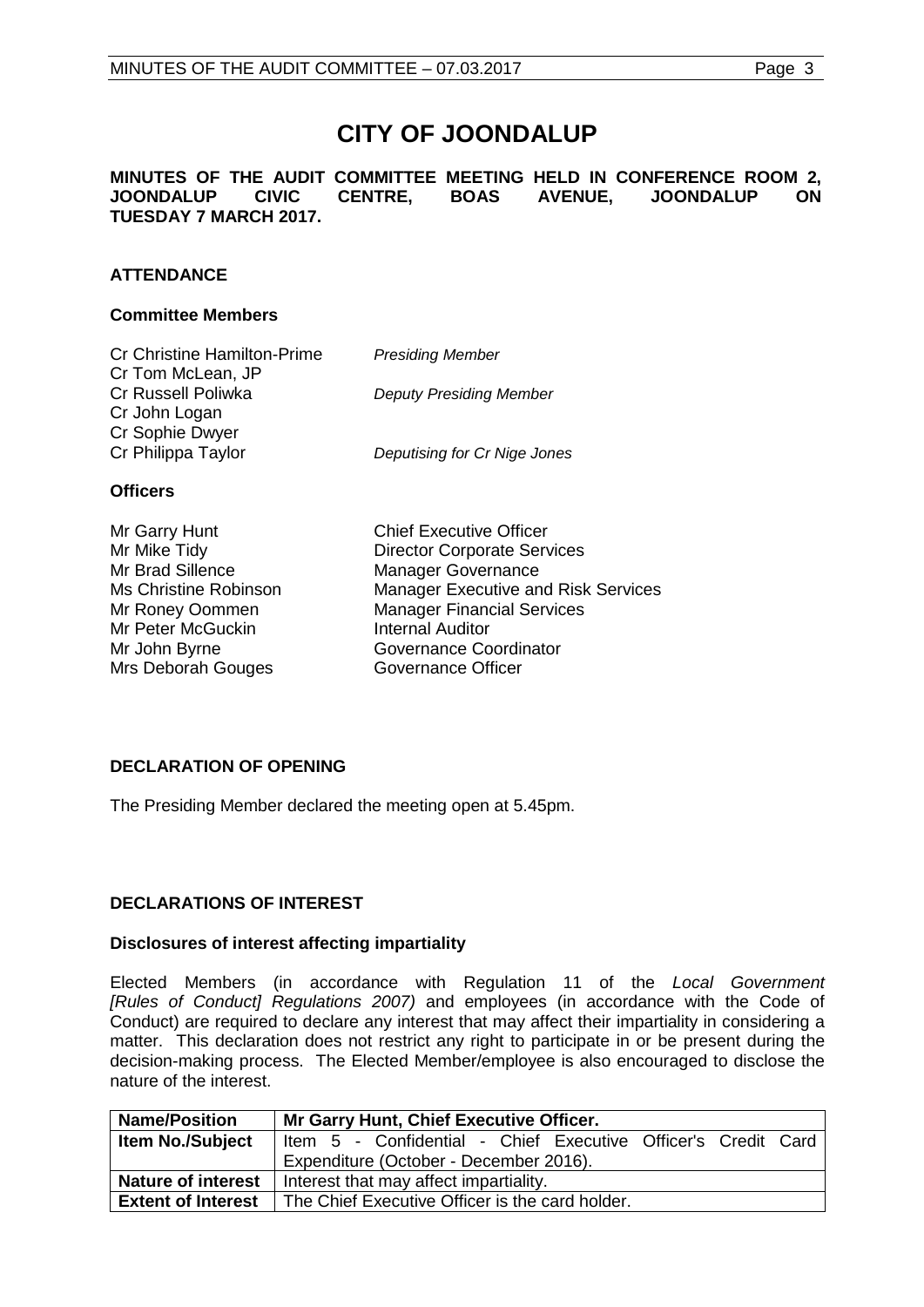# **CITY OF JOONDALUP**

**MINUTES OF THE AUDIT COMMITTEE MEETING HELD IN CONFERENCE ROOM 2, BOAS AVENUE, TUESDAY 7 MARCH 2017.** 

# **ATTENDANCE**

## **Committee Members**

| <b>Cr Christine Hamilton-Prime</b>      | <b>Presiding Member</b>        |
|-----------------------------------------|--------------------------------|
| Cr Tom McLean, JP<br>Cr Russell Poliwka | <b>Deputy Presiding Member</b> |
| Cr John Logan<br>Cr Sophie Dwyer        |                                |
| Cr Philippa Taylor                      | Deputising for Cr Nige Jones   |
| <b>Officers</b>                         |                                |
| $Mr$ Cornellunt                         | Chief Evenutive Officer        |

| Mr Garry Hunt         | <b>Chief Executive Officer</b>             |
|-----------------------|--------------------------------------------|
| Mr Mike Tidy          | <b>Director Corporate Services</b>         |
| Mr Brad Sillence      | <b>Manager Governance</b>                  |
| Ms Christine Robinson | <b>Manager Executive and Risk Services</b> |
| Mr Roney Oommen       | <b>Manager Financial Services</b>          |
| Mr Peter McGuckin     | <b>Internal Auditor</b>                    |
| Mr John Byrne         | Governance Coordinator                     |
| Mrs Deborah Gouges    | Governance Officer                         |
|                       |                                            |

# <span id="page-2-0"></span>**DECLARATION OF OPENING**

The Presiding Member declared the meeting open at 5.45pm.

# <span id="page-2-1"></span>**DECLARATIONS OF INTEREST**

# **Disclosures of interest affecting impartiality**

Elected Members (in accordance with Regulation 11 of the *Local Government [Rules of Conduct] Regulations 2007)* and employees (in accordance with the Code of Conduct) are required to declare any interest that may affect their impartiality in considering a matter. This declaration does not restrict any right to participate in or be present during the decision-making process. The Elected Member/employee is also encouraged to disclose the nature of the interest.

| <b>Name/Position</b>      | Mr Garry Hunt, Chief Executive Officer.                       |  |
|---------------------------|---------------------------------------------------------------|--|
| <b>Item No./Subject</b>   | Item 5 - Confidential - Chief Executive Officer's Credit Card |  |
|                           | Expenditure (October - December 2016).                        |  |
| <b>Nature of interest</b> | Interest that may affect impartiality.                        |  |
| <b>Extent of Interest</b> | The Chief Executive Officer is the card holder.               |  |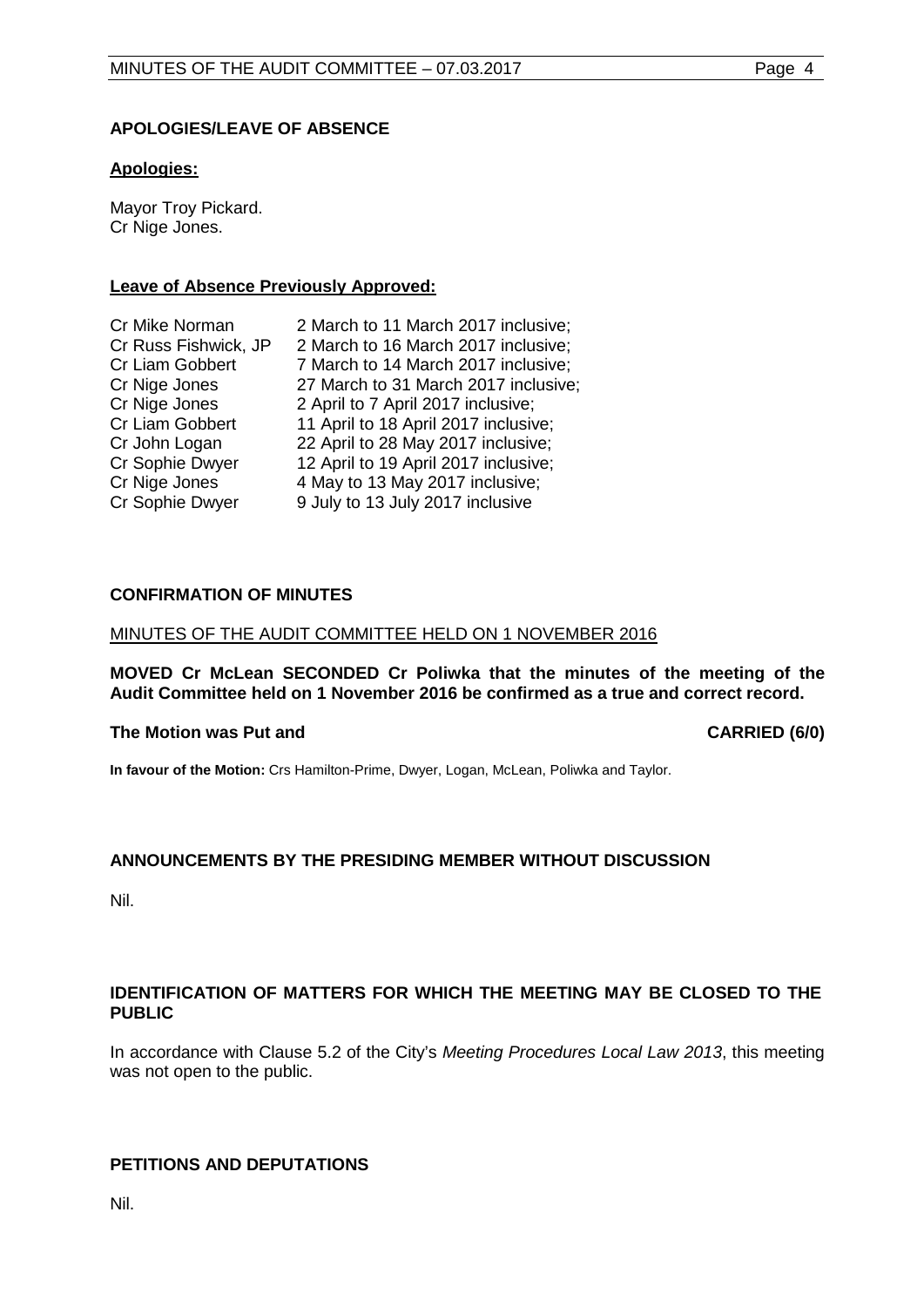# <span id="page-3-0"></span>**APOLOGIES/LEAVE OF ABSENCE**

# **Apologies:**

Mayor Troy Pickard. Cr Nige Jones.

# **Leave of Absence Previously Approved:**

| Cr Mike Norman       | 2 March to 11 March 2017 inclusive;  |
|----------------------|--------------------------------------|
| Cr Russ Fishwick, JP | 2 March to 16 March 2017 inclusive;  |
| Cr Liam Gobbert      | 7 March to 14 March 2017 inclusive;  |
| Cr Nige Jones        | 27 March to 31 March 2017 inclusive; |
| Cr Nige Jones        | 2 April to 7 April 2017 inclusive;   |
| Cr Liam Gobbert      | 11 April to 18 April 2017 inclusive; |
| Cr John Logan        | 22 April to 28 May 2017 inclusive;   |
| Cr Sophie Dwyer      | 12 April to 19 April 2017 inclusive; |
| Cr Nige Jones        | 4 May to 13 May 2017 inclusive;      |
| Cr Sophie Dwyer      | 9 July to 13 July 2017 inclusive     |

# <span id="page-3-1"></span>**CONFIRMATION OF MINUTES**

## MINUTES OF THE AUDIT COMMITTEE HELD ON 1 NOVEMBER 2016

**MOVED Cr McLean SECONDED Cr Poliwka that the minutes of the meeting of the Audit Committee held on 1 November 2016 be confirmed as a true and correct record.**

# **The Motion was Put and CARRIED (6/0)**

**In favour of the Motion:** Crs Hamilton-Prime, Dwyer, Logan, McLean, Poliwka and Taylor.

# <span id="page-3-2"></span>**ANNOUNCEMENTS BY THE PRESIDING MEMBER WITHOUT DISCUSSION**

Nil.

# <span id="page-3-3"></span>**IDENTIFICATION OF MATTERS FOR WHICH THE MEETING MAY BE CLOSED TO THE PUBLIC**

In accordance with Clause 5.2 of the City's *Meeting Procedures Local Law 2013*, this meeting was not open to the public.

# <span id="page-3-4"></span>**PETITIONS AND DEPUTATIONS**

Nil.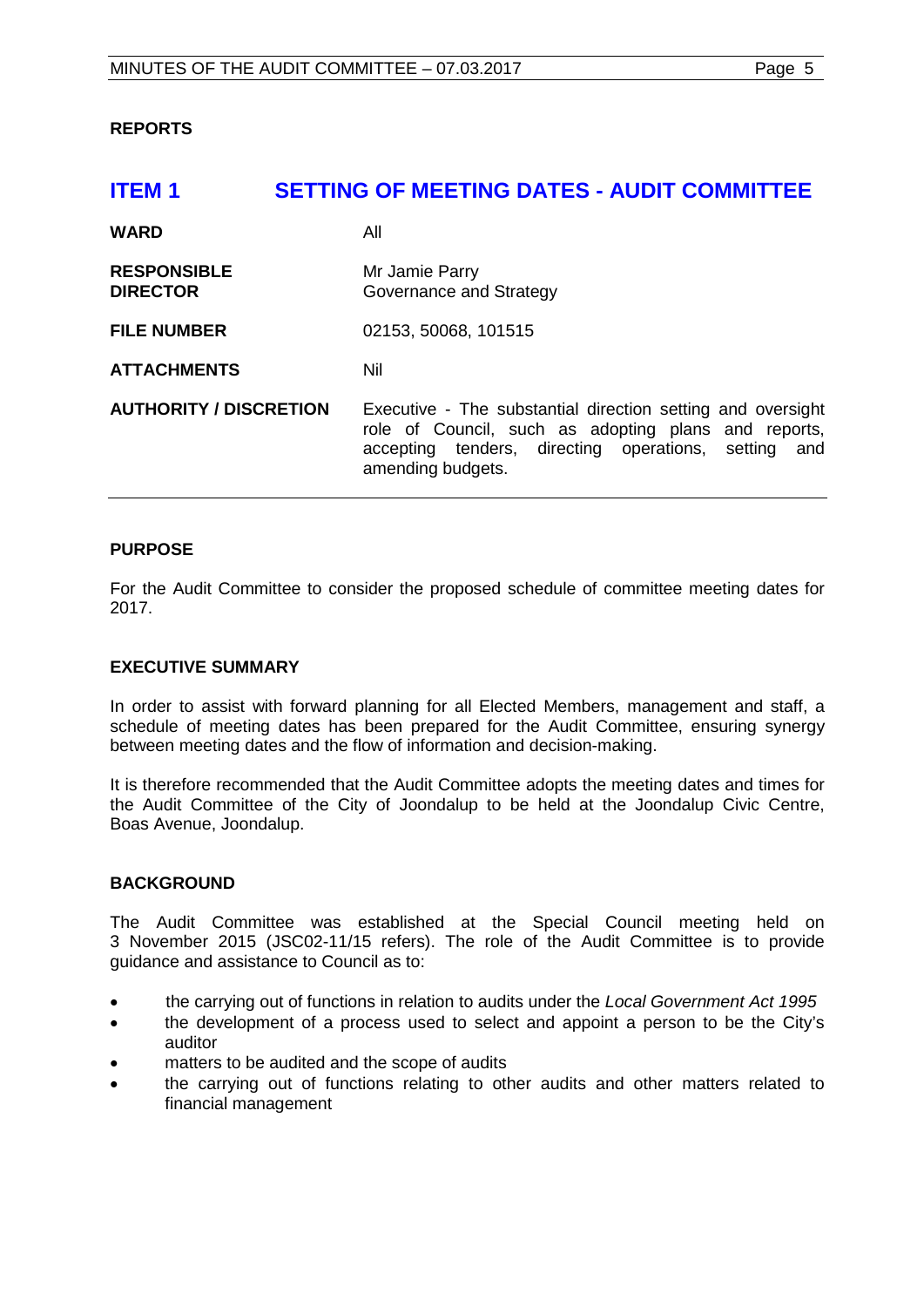# <span id="page-4-0"></span>**REPORTS**

# <span id="page-4-1"></span>**ITEM 1 SETTING OF MEETING DATES - AUDIT COMMITTEE**

| <b>WARD</b>                           | All                                                                                                                                                                                                 |
|---------------------------------------|-----------------------------------------------------------------------------------------------------------------------------------------------------------------------------------------------------|
| <b>RESPONSIBLE</b><br><b>DIRECTOR</b> | Mr Jamie Parry<br>Governance and Strategy                                                                                                                                                           |
| <b>FILE NUMBER</b>                    | 02153, 50068, 101515                                                                                                                                                                                |
| <b>ATTACHMENTS</b>                    | Nil                                                                                                                                                                                                 |
| <b>AUTHORITY / DISCRETION</b>         | Executive - The substantial direction setting and oversight<br>role of Council, such as adopting plans and reports,<br>accepting tenders, directing operations, setting<br>and<br>amending budgets. |

## **PURPOSE**

For the Audit Committee to consider the proposed schedule of committee meeting dates for 2017.

#### **EXECUTIVE SUMMARY**

In order to assist with forward planning for all Elected Members, management and staff, a schedule of meeting dates has been prepared for the Audit Committee, ensuring synergy between meeting dates and the flow of information and decision-making.

It is therefore recommended that the Audit Committee adopts the meeting dates and times for the Audit Committee of the City of Joondalup to be held at the Joondalup Civic Centre, Boas Avenue, Joondalup.

# **BACKGROUND**

The Audit Committee was established at the Special Council meeting held on 3 November 2015 (JSC02-11/15 refers). The role of the Audit Committee is to provide guidance and assistance to Council as to:

- the carrying out of functions in relation to audits under the *Local Government Act 1995*
- the development of a process used to select and appoint a person to be the City's auditor
- matters to be audited and the scope of audits
- the carrying out of functions relating to other audits and other matters related to financial management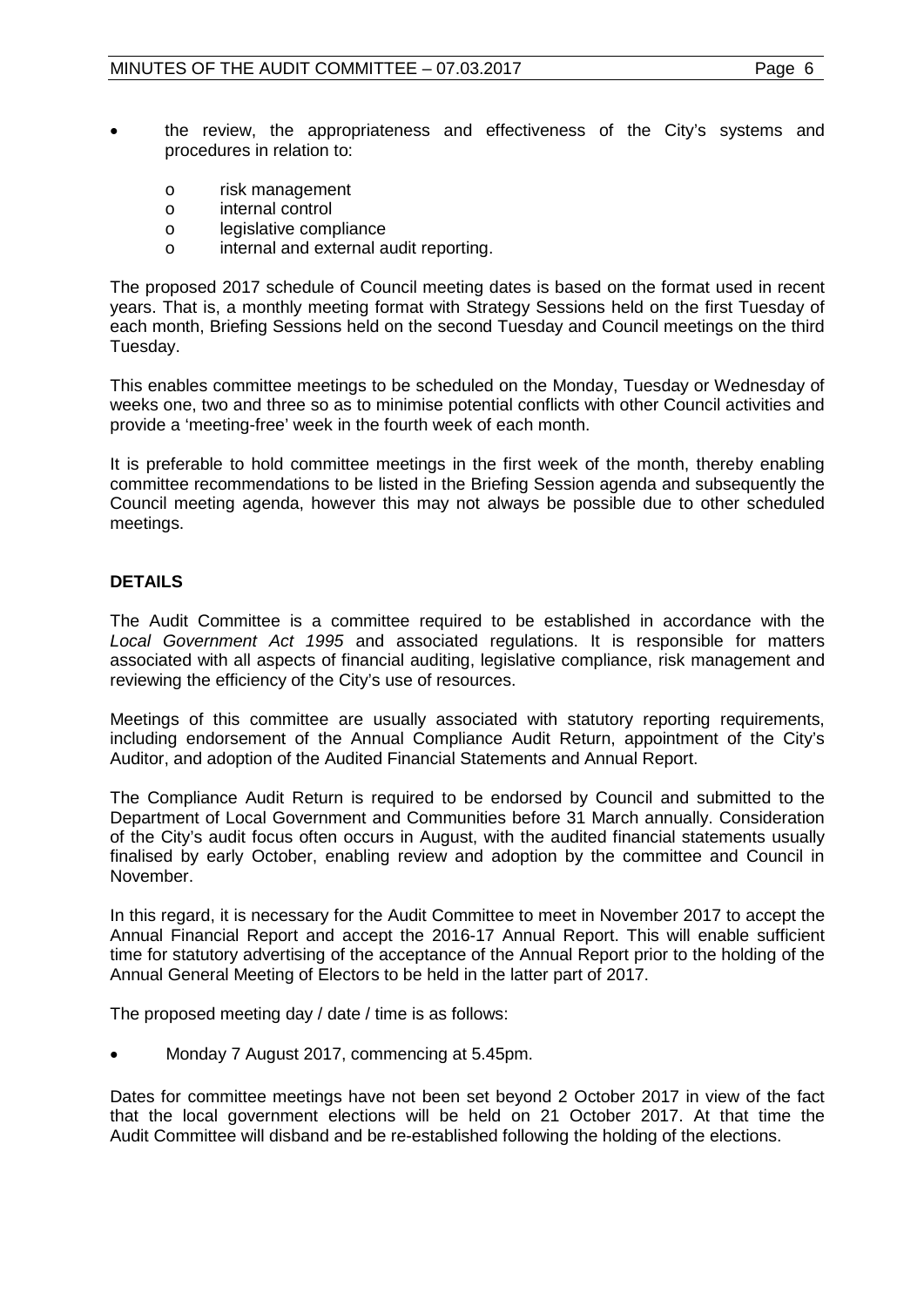- the review, the appropriateness and effectiveness of the City's systems and procedures in relation to:
	- o risk management<br>o internal control
	- o internal control<br>o legislative come
	- o legislative compliance<br>o internal and external a
	- internal and external audit reporting.

The proposed 2017 schedule of Council meeting dates is based on the format used in recent years. That is, a monthly meeting format with Strategy Sessions held on the first Tuesday of each month, Briefing Sessions held on the second Tuesday and Council meetings on the third Tuesday.

This enables committee meetings to be scheduled on the Monday, Tuesday or Wednesday of weeks one, two and three so as to minimise potential conflicts with other Council activities and provide a 'meeting-free' week in the fourth week of each month.

It is preferable to hold committee meetings in the first week of the month, thereby enabling committee recommendations to be listed in the Briefing Session agenda and subsequently the Council meeting agenda, however this may not always be possible due to other scheduled meetings.

# **DETAILS**

The Audit Committee is a committee required to be established in accordance with the *Local Government Act 1995* and associated regulations. It is responsible for matters associated with all aspects of financial auditing, legislative compliance, risk management and reviewing the efficiency of the City's use of resources.

Meetings of this committee are usually associated with statutory reporting requirements, including endorsement of the Annual Compliance Audit Return, appointment of the City's Auditor, and adoption of the Audited Financial Statements and Annual Report.

The Compliance Audit Return is required to be endorsed by Council and submitted to the Department of Local Government and Communities before 31 March annually. Consideration of the City's audit focus often occurs in August, with the audited financial statements usually finalised by early October, enabling review and adoption by the committee and Council in November.

In this regard, it is necessary for the Audit Committee to meet in November 2017 to accept the Annual Financial Report and accept the 2016-17 Annual Report. This will enable sufficient time for statutory advertising of the acceptance of the Annual Report prior to the holding of the Annual General Meeting of Electors to be held in the latter part of 2017.

The proposed meeting day / date / time is as follows:

• Monday 7 August 2017, commencing at 5.45pm.

Dates for committee meetings have not been set beyond 2 October 2017 in view of the fact that the local government elections will be held on 21 October 2017. At that time the Audit Committee will disband and be re-established following the holding of the elections.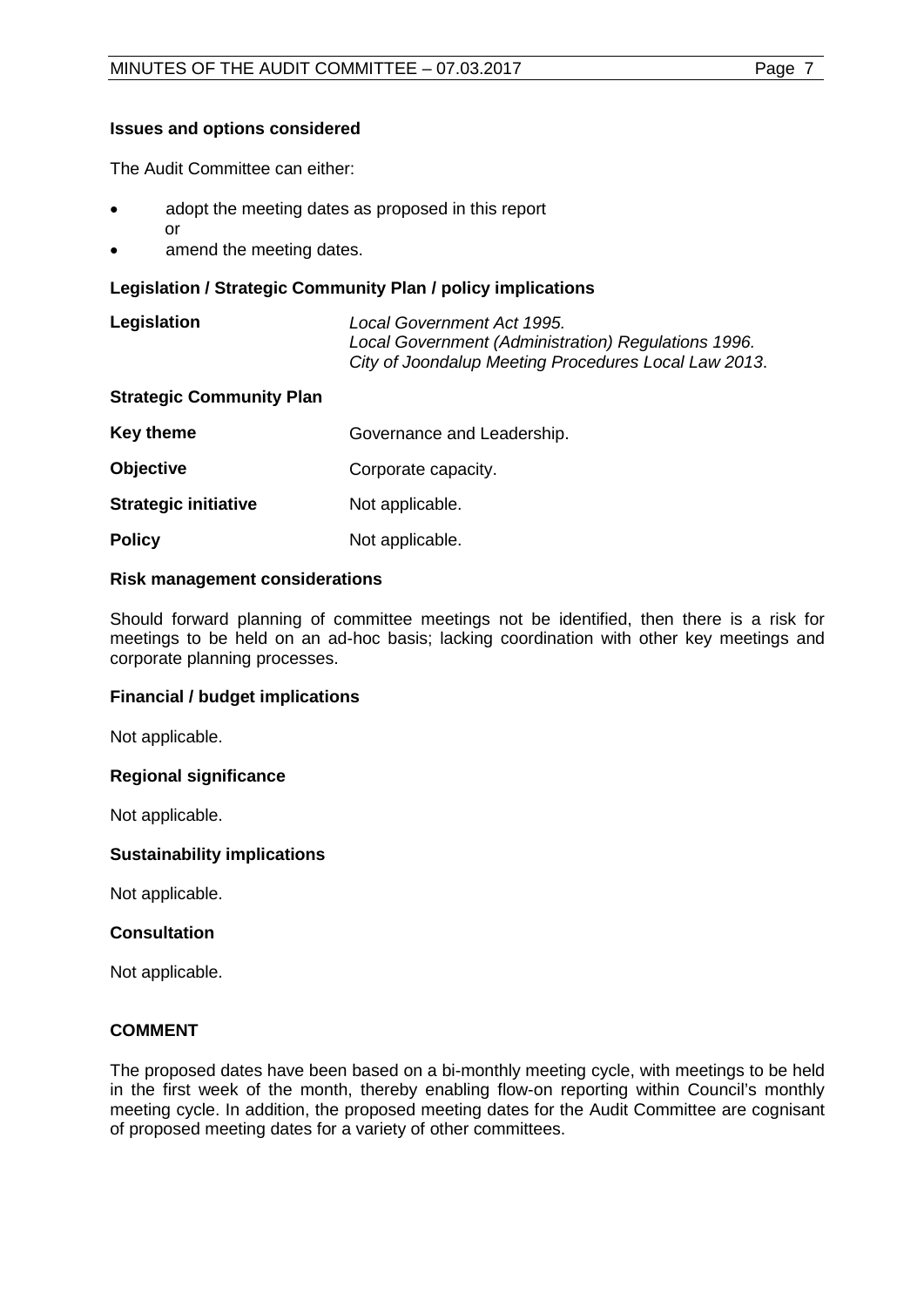# **Issues and options considered**

The Audit Committee can either:

- adopt the meeting dates as proposed in this report or
- amend the meeting dates.

# **Legislation / Strategic Community Plan / policy implications**

| Legislation | Local Government Act 1995.                           |
|-------------|------------------------------------------------------|
|             | Local Government (Administration) Regulations 1996.  |
|             | City of Joondalup Meeting Procedures Local Law 2013. |

# **Strategic Community Plan**

| Key theme                   | Governance and Leadership. |
|-----------------------------|----------------------------|
| <b>Objective</b>            | Corporate capacity.        |
| <b>Strategic initiative</b> | Not applicable.            |
| <b>Policy</b>               | Not applicable.            |

## **Risk management considerations**

Should forward planning of committee meetings not be identified, then there is a risk for meetings to be held on an ad-hoc basis; lacking coordination with other key meetings and corporate planning processes.

# **Financial / budget implications**

Not applicable.

#### **Regional significance**

Not applicable.

#### **Sustainability implications**

Not applicable.

# **Consultation**

Not applicable.

# **COMMENT**

The proposed dates have been based on a bi-monthly meeting cycle, with meetings to be held in the first week of the month, thereby enabling flow-on reporting within Council's monthly meeting cycle. In addition, the proposed meeting dates for the Audit Committee are cognisant of proposed meeting dates for a variety of other committees.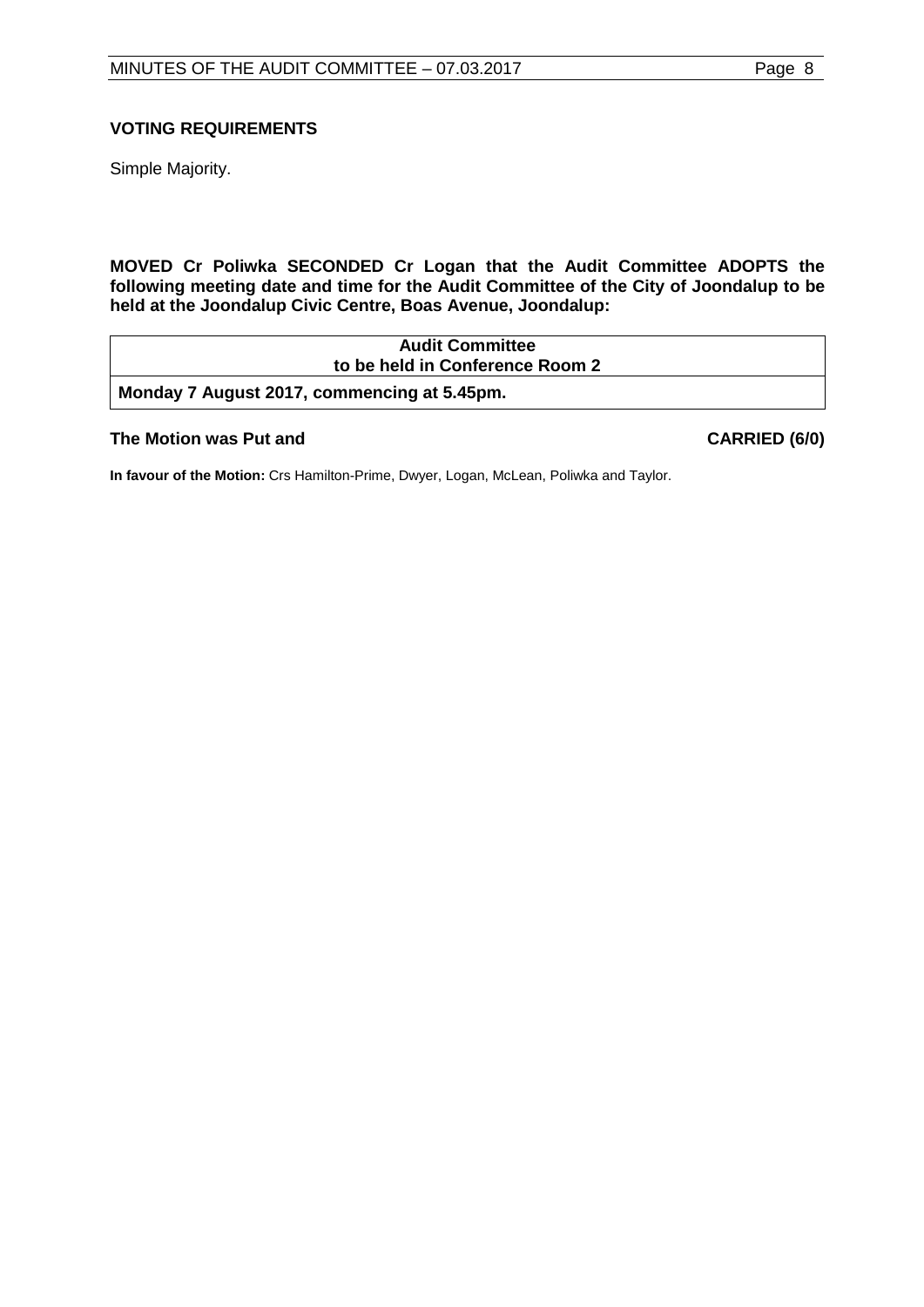# **VOTING REQUIREMENTS**

Simple Majority.

**MOVED Cr Poliwka SECONDED Cr Logan that the Audit Committee ADOPTS the following meeting date and time for the Audit Committee of the City of Joondalup to be held at the Joondalup Civic Centre, Boas Avenue, Joondalup:**

| <b>Audit Committee</b>                      |  |
|---------------------------------------------|--|
| to be held in Conference Room 2             |  |
| Monday 7 August 2017, commencing at 5.45pm. |  |

## **The Motion was Put and CARRIED (6/0)**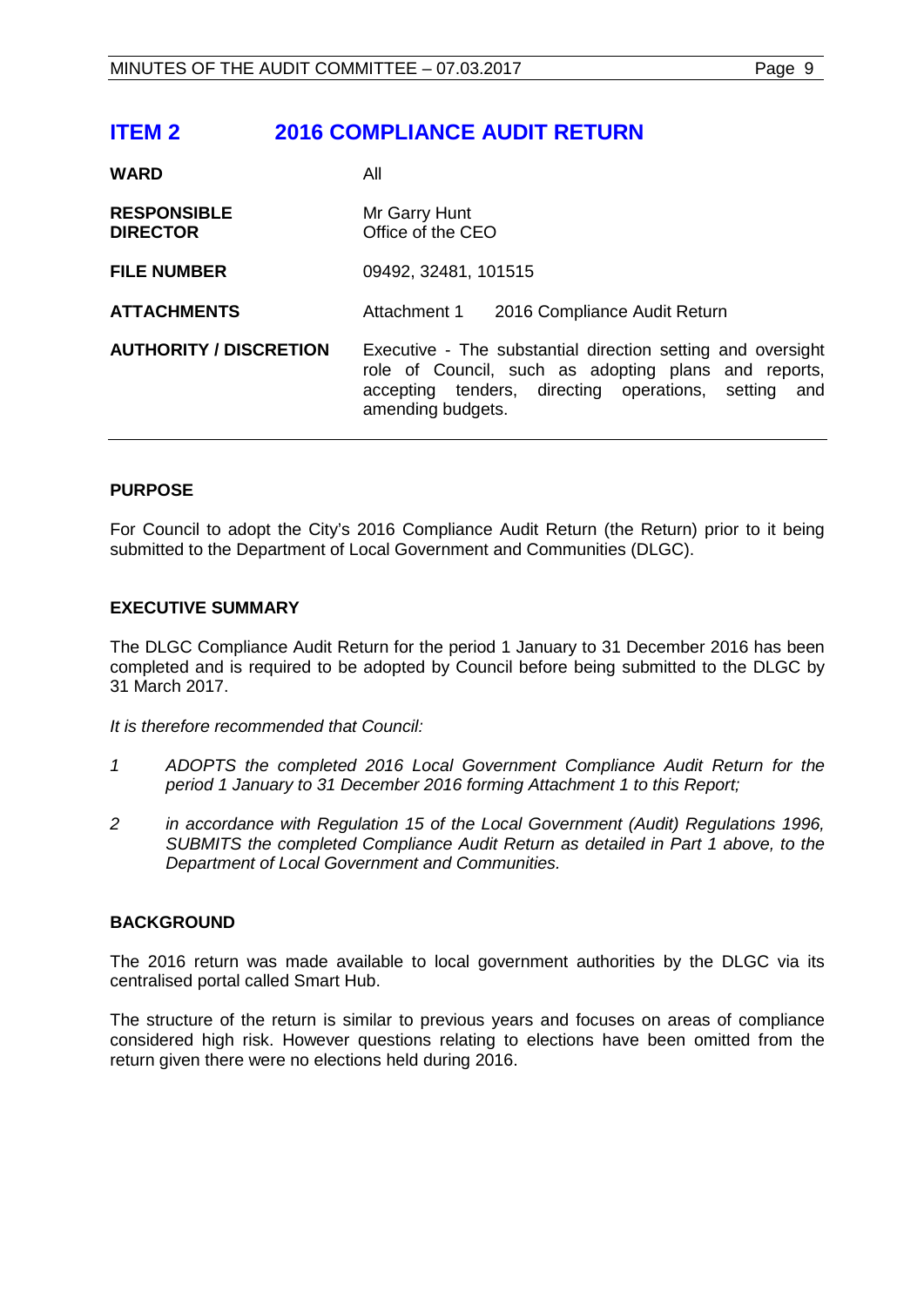# <span id="page-8-0"></span>**ITEM 2 2016 COMPLIANCE AUDIT RETURN**

| <b>WARD</b>                           | All                                                                                                                                                                                                 |
|---------------------------------------|-----------------------------------------------------------------------------------------------------------------------------------------------------------------------------------------------------|
| <b>RESPONSIBLE</b><br><b>DIRECTOR</b> | Mr Garry Hunt<br>Office of the CEO                                                                                                                                                                  |
| <b>FILE NUMBER</b>                    | 09492, 32481, 101515                                                                                                                                                                                |
| <b>ATTACHMENTS</b>                    | Attachment 1<br>2016 Compliance Audit Return                                                                                                                                                        |
| <b>AUTHORITY / DISCRETION</b>         | Executive - The substantial direction setting and oversight<br>role of Council, such as adopting plans and reports,<br>accepting tenders, directing operations, setting<br>and<br>amending budgets. |

# **PURPOSE**

For Council to adopt the City's 2016 Compliance Audit Return (the Return) prior to it being submitted to the Department of Local Government and Communities (DLGC).

# **EXECUTIVE SUMMARY**

The DLGC Compliance Audit Return for the period 1 January to 31 December 2016 has been completed and is required to be adopted by Council before being submitted to the DLGC by 31 March 2017.

*It is therefore recommended that Council:*

- *1 ADOPTS the completed 2016 Local Government Compliance Audit Return for the period 1 January to 31 December 2016 forming Attachment 1 to this Report;*
- *2 in accordance with Regulation 15 of the Local Government (Audit) Regulations 1996, SUBMITS the completed Compliance Audit Return as detailed in Part 1 above, to the Department of Local Government and Communities.*

# **BACKGROUND**

The 2016 return was made available to local government authorities by the DLGC via its centralised portal called Smart Hub.

The structure of the return is similar to previous years and focuses on areas of compliance considered high risk. However questions relating to elections have been omitted from the return given there were no elections held during 2016.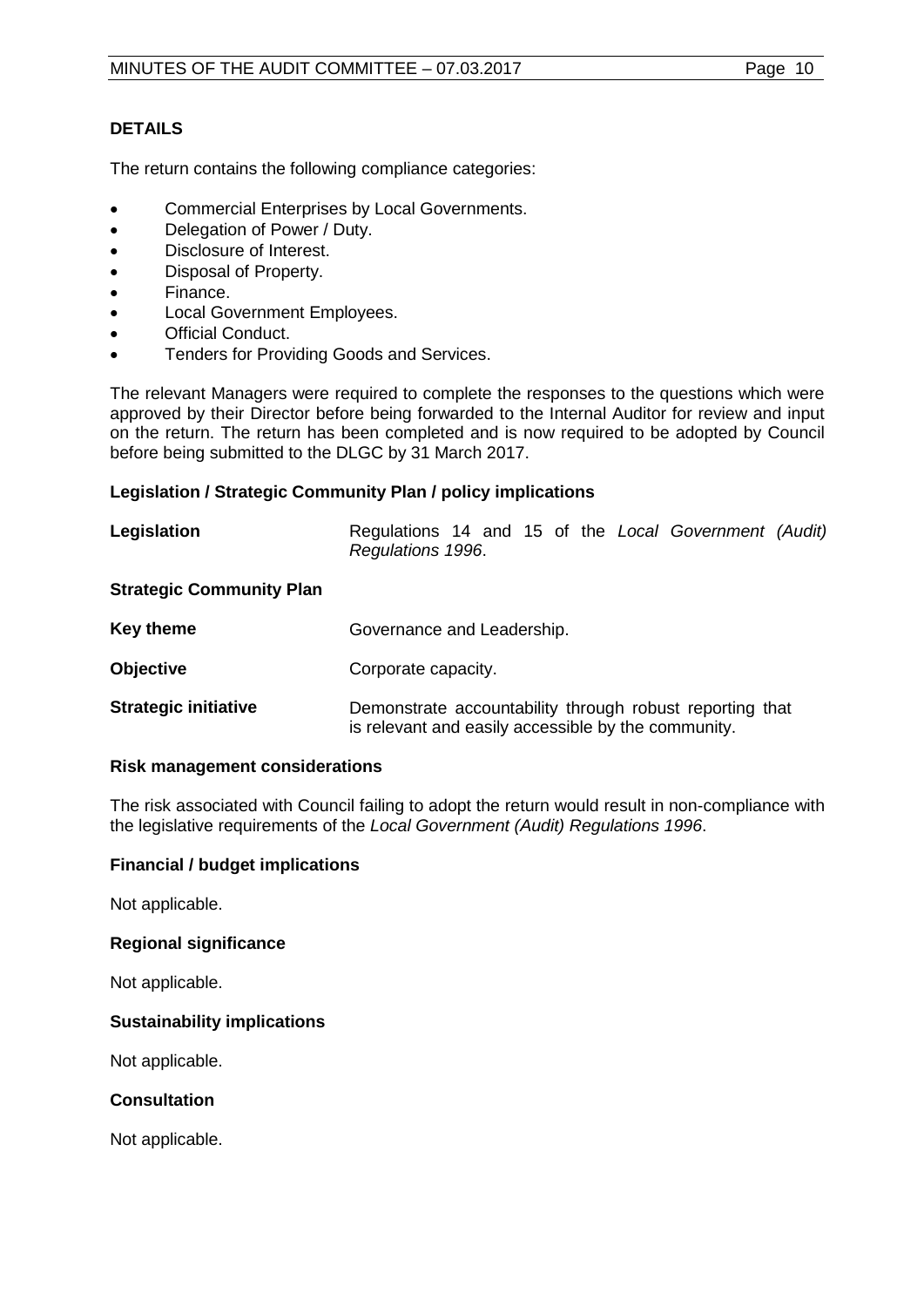# **DETAILS**

The return contains the following compliance categories:

- Commercial Enterprises by Local Governments.
- Delegation of Power / Duty.
- Disclosure of Interest.
- Disposal of Property.
- Finance.
- Local Government Employees.
- Official Conduct.
- Tenders for Providing Goods and Services.

The relevant Managers were required to complete the responses to the questions which were approved by their Director before being forwarded to the Internal Auditor for review and input on the return. The return has been completed and is now required to be adopted by Council before being submitted to the DLGC by 31 March 2017.

# **Legislation / Strategic Community Plan / policy implications**

| Legislation                     | Regulations 14 and 15 of the Local Government (Audit)<br>Regulations 1996.                                      |  |
|---------------------------------|-----------------------------------------------------------------------------------------------------------------|--|
| <b>Strategic Community Plan</b> |                                                                                                                 |  |
| <b>Key theme</b>                | Governance and Leadership.                                                                                      |  |
| <b>Objective</b>                | Corporate capacity.                                                                                             |  |
| <b>Strategic initiative</b>     | Demonstrate accountability through robust reporting that<br>is relevant and easily accessible by the community. |  |

#### **Risk management considerations**

The risk associated with Council failing to adopt the return would result in non-compliance with the legislative requirements of the *Local Government (Audit) Regulations 1996*.

# **Financial / budget implications**

Not applicable.

# **Regional significance**

Not applicable.

# **Sustainability implications**

Not applicable.

# **Consultation**

Not applicable.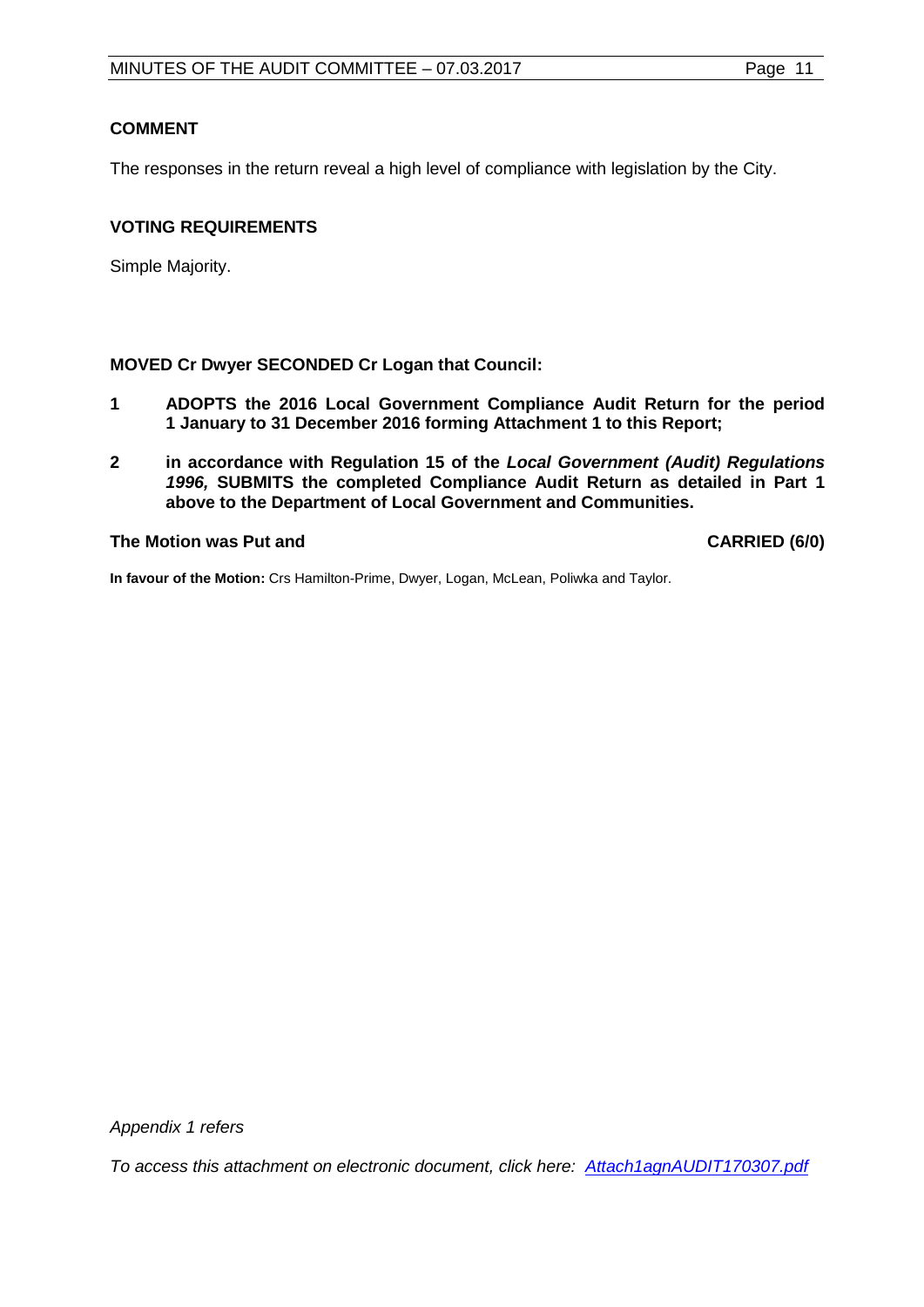# **COMMENT**

The responses in the return reveal a high level of compliance with legislation by the City.

# **VOTING REQUIREMENTS**

Simple Majority.

# **MOVED Cr Dwyer SECONDED Cr Logan that Council:**

- **1 ADOPTS the 2016 Local Government Compliance Audit Return for the period 1 January to 31 December 2016 forming Attachment 1 to this Report;**
- **2 in accordance with Regulation 15 of the** *Local Government (Audit) Regulations 1996,* **SUBMITS the completed Compliance Audit Return as detailed in Part 1 above to the Department of Local Government and Communities.**

# **The Motion was Put and CARRIED (6/0)**

**In favour of the Motion:** Crs Hamilton-Prime, Dwyer, Logan, McLean, Poliwka and Taylor.

*Appendix 1 refers*

*[To access this attachment on electronic document, click here: Attach1agnAUDIT170307.pdf](http://www.joondalup.wa.gov.au/files/committees/AUDT/2017/Attach1agnAUDIT170307.pdf)*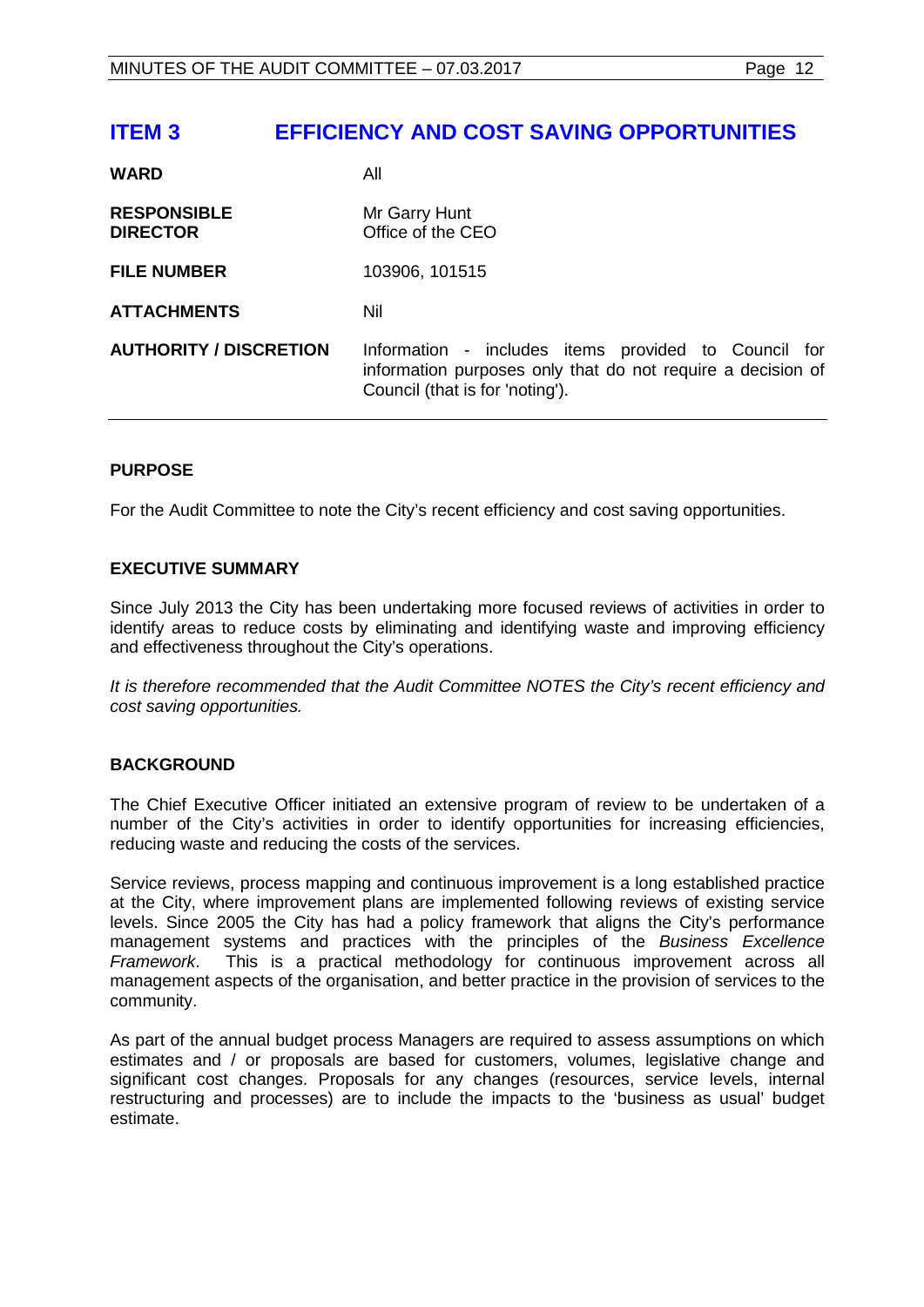# <span id="page-11-0"></span>**ITEM 3 EFFICIENCY AND COST SAVING OPPORTUNITIES**

| <b>WARD</b>                           | All                                                                                                                                                    |
|---------------------------------------|--------------------------------------------------------------------------------------------------------------------------------------------------------|
| <b>RESPONSIBLE</b><br><b>DIRECTOR</b> | Mr Garry Hunt<br>Office of the CEO                                                                                                                     |
| <b>FILE NUMBER</b>                    | 103906, 101515                                                                                                                                         |
| <b>ATTACHMENTS</b>                    | Nil                                                                                                                                                    |
| <b>AUTHORITY / DISCRETION</b>         | Information - includes items provided to Council for<br>information purposes only that do not require a decision of<br>Council (that is for 'noting'). |

# **PURPOSE**

For the Audit Committee to note the City's recent efficiency and cost saving opportunities.

# **EXECUTIVE SUMMARY**

Since July 2013 the City has been undertaking more focused reviews of activities in order to identify areas to reduce costs by eliminating and identifying waste and improving efficiency and effectiveness throughout the City's operations.

*It is therefore recommended that the Audit Committee NOTES the City's recent efficiency and cost saving opportunities.*

# **BACKGROUND**

The Chief Executive Officer initiated an extensive program of review to be undertaken of a number of the City's activities in order to identify opportunities for increasing efficiencies, reducing waste and reducing the costs of the services.

Service reviews, process mapping and continuous improvement is a long established practice at the City, where improvement plans are implemented following reviews of existing service levels. Since 2005 the City has had a policy framework that aligns the City's performance management systems and practices with the principles of the *Business Excellence Framework*. This is a practical methodology for continuous improvement across all management aspects of the organisation, and better practice in the provision of services to the community.

As part of the annual budget process Managers are required to assess assumptions on which estimates and / or proposals are based for customers, volumes, legislative change and significant cost changes. Proposals for any changes (resources, service levels, internal restructuring and processes) are to include the impacts to the 'business as usual' budget estimate.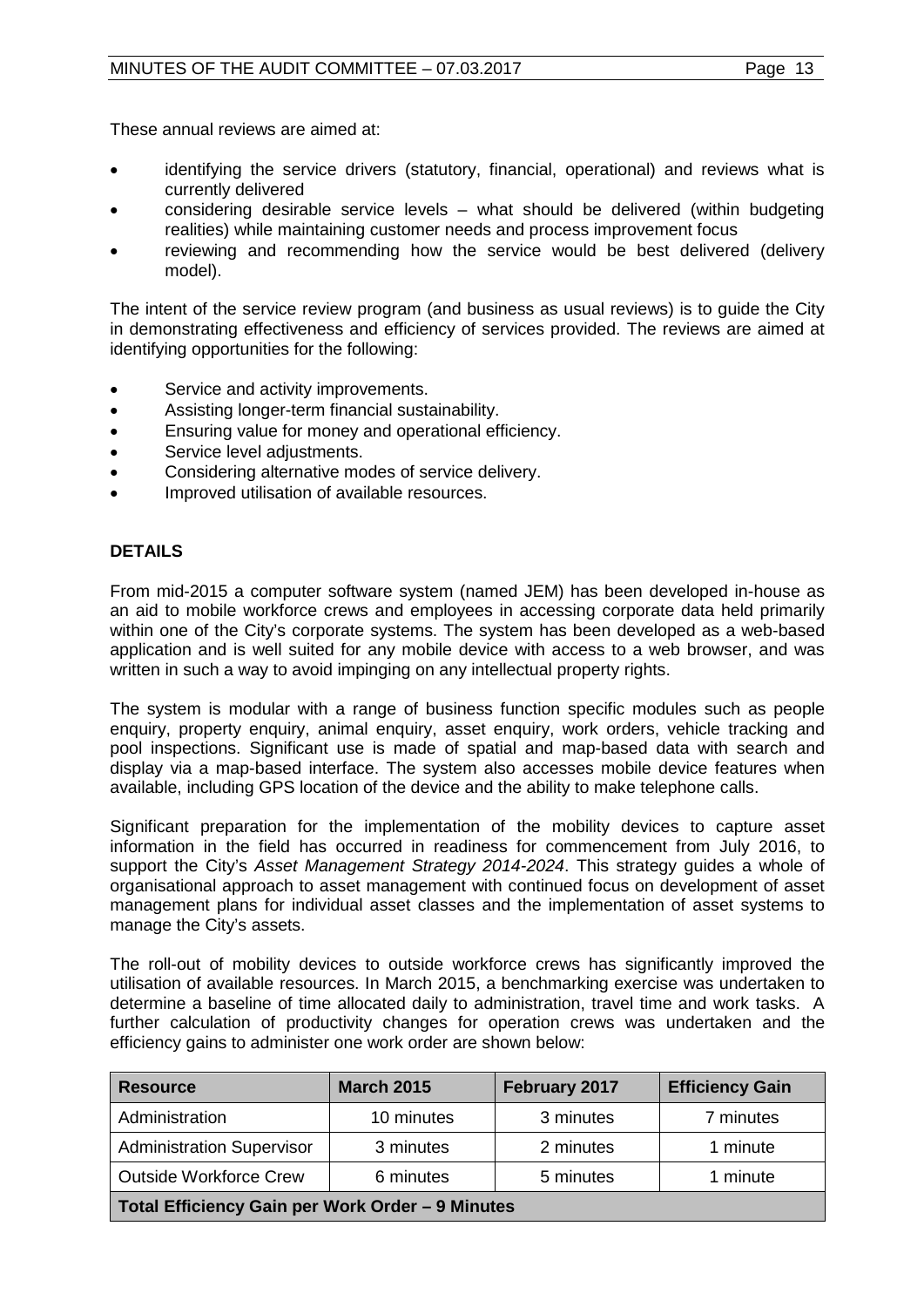These annual reviews are aimed at:

- identifying the service drivers (statutory, financial, operational) and reviews what is currently delivered
- considering desirable service levels what should be delivered (within budgeting realities) while maintaining customer needs and process improvement focus
- reviewing and recommending how the service would be best delivered (delivery model).

The intent of the service review program (and business as usual reviews) is to guide the City in demonstrating effectiveness and efficiency of services provided. The reviews are aimed at identifying opportunities for the following:

- Service and activity improvements.
- Assisting longer-term financial sustainability.
- Ensuring value for money and operational efficiency.
- Service level adjustments.
- Considering alternative modes of service delivery.
- Improved utilisation of available resources.

# **DETAILS**

From mid-2015 a computer software system (named JEM) has been developed in-house as an aid to mobile workforce crews and employees in accessing corporate data held primarily within one of the City's corporate systems. The system has been developed as a web-based application and is well suited for any mobile device with access to a web browser, and was written in such a way to avoid impinging on any intellectual property rights.

The system is modular with a range of business function specific modules such as people enquiry, property enquiry, animal enquiry, asset enquiry, work orders, vehicle tracking and pool inspections. Significant use is made of spatial and map-based data with search and display via a map-based interface. The system also accesses mobile device features when available, including GPS location of the device and the ability to make telephone calls.

Significant preparation for the implementation of the mobility devices to capture asset information in the field has occurred in readiness for commencement from July 2016, to support the City's *Asset Management Strategy 2014-2024*. This strategy guides a whole of organisational approach to asset management with continued focus on development of asset management plans for individual asset classes and the implementation of asset systems to manage the City's assets.

The roll-out of mobility devices to outside workforce crews has significantly improved the utilisation of available resources. In March 2015, a benchmarking exercise was undertaken to determine a baseline of time allocated daily to administration, travel time and work tasks. A further calculation of productivity changes for operation crews was undertaken and the efficiency gains to administer one work order are shown below:

| <b>Resource</b>                                  | <b>March 2015</b> | February 2017 | <b>Efficiency Gain</b> |
|--------------------------------------------------|-------------------|---------------|------------------------|
| Administration                                   | 10 minutes        | 3 minutes     | 7 minutes              |
| <b>Administration Supervisor</b>                 | 3 minutes         | 2 minutes     | 1 minute               |
| <b>Outside Workforce Crew</b>                    | 6 minutes         | 5 minutes     | 1 minute               |
| Total Efficiency Gain per Work Order - 9 Minutes |                   |               |                        |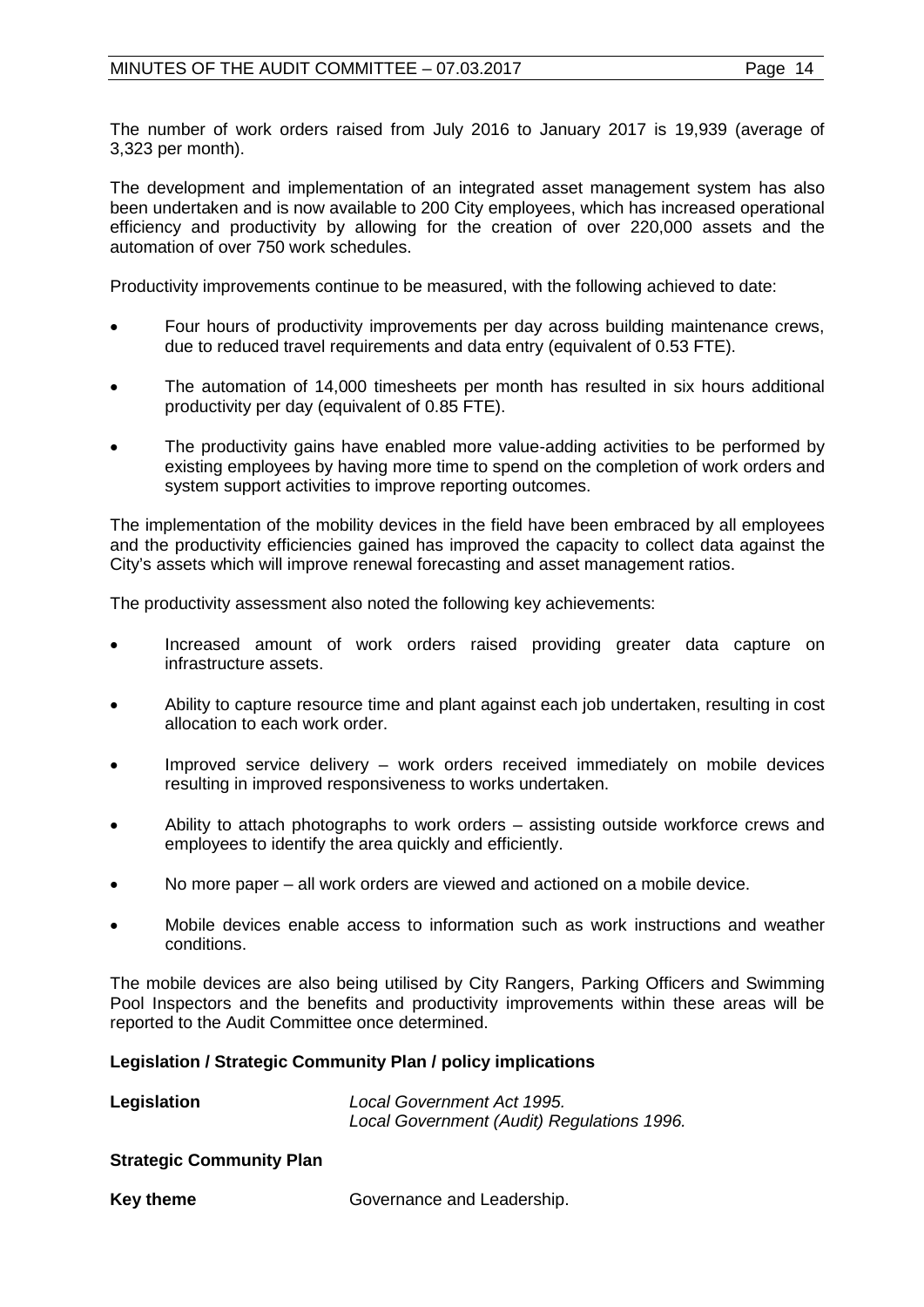The number of work orders raised from July 2016 to January 2017 is 19,939 (average of 3,323 per month).

The development and implementation of an integrated asset management system has also been undertaken and is now available to 200 City employees, which has increased operational efficiency and productivity by allowing for the creation of over 220,000 assets and the automation of over 750 work schedules.

Productivity improvements continue to be measured, with the following achieved to date:

- Four hours of productivity improvements per day across building maintenance crews, due to reduced travel requirements and data entry (equivalent of 0.53 FTE).
- The automation of 14,000 timesheets per month has resulted in six hours additional productivity per day (equivalent of 0.85 FTE).
- The productivity gains have enabled more value-adding activities to be performed by existing employees by having more time to spend on the completion of work orders and system support activities to improve reporting outcomes.

The implementation of the mobility devices in the field have been embraced by all employees and the productivity efficiencies gained has improved the capacity to collect data against the City's assets which will improve renewal forecasting and asset management ratios.

The productivity assessment also noted the following key achievements:

- Increased amount of work orders raised providing greater data capture on infrastructure assets.
- Ability to capture resource time and plant against each job undertaken, resulting in cost allocation to each work order.
- Improved service delivery work orders received immediately on mobile devices resulting in improved responsiveness to works undertaken.
- Ability to attach photographs to work orders assisting outside workforce crews and employees to identify the area quickly and efficiently.
- No more paper all work orders are viewed and actioned on a mobile device.
- Mobile devices enable access to information such as work instructions and weather conditions.

The mobile devices are also being utilised by City Rangers, Parking Officers and Swimming Pool Inspectors and the benefits and productivity improvements within these areas will be reported to the Audit Committee once determined.

# **Legislation / Strategic Community Plan / policy implications**

| Legislation | Local Government Act 1995.                 |  |  |
|-------------|--------------------------------------------|--|--|
|             | Local Government (Audit) Regulations 1996. |  |  |

#### **Strategic Community Plan**

**Key theme Governance and Leadership.**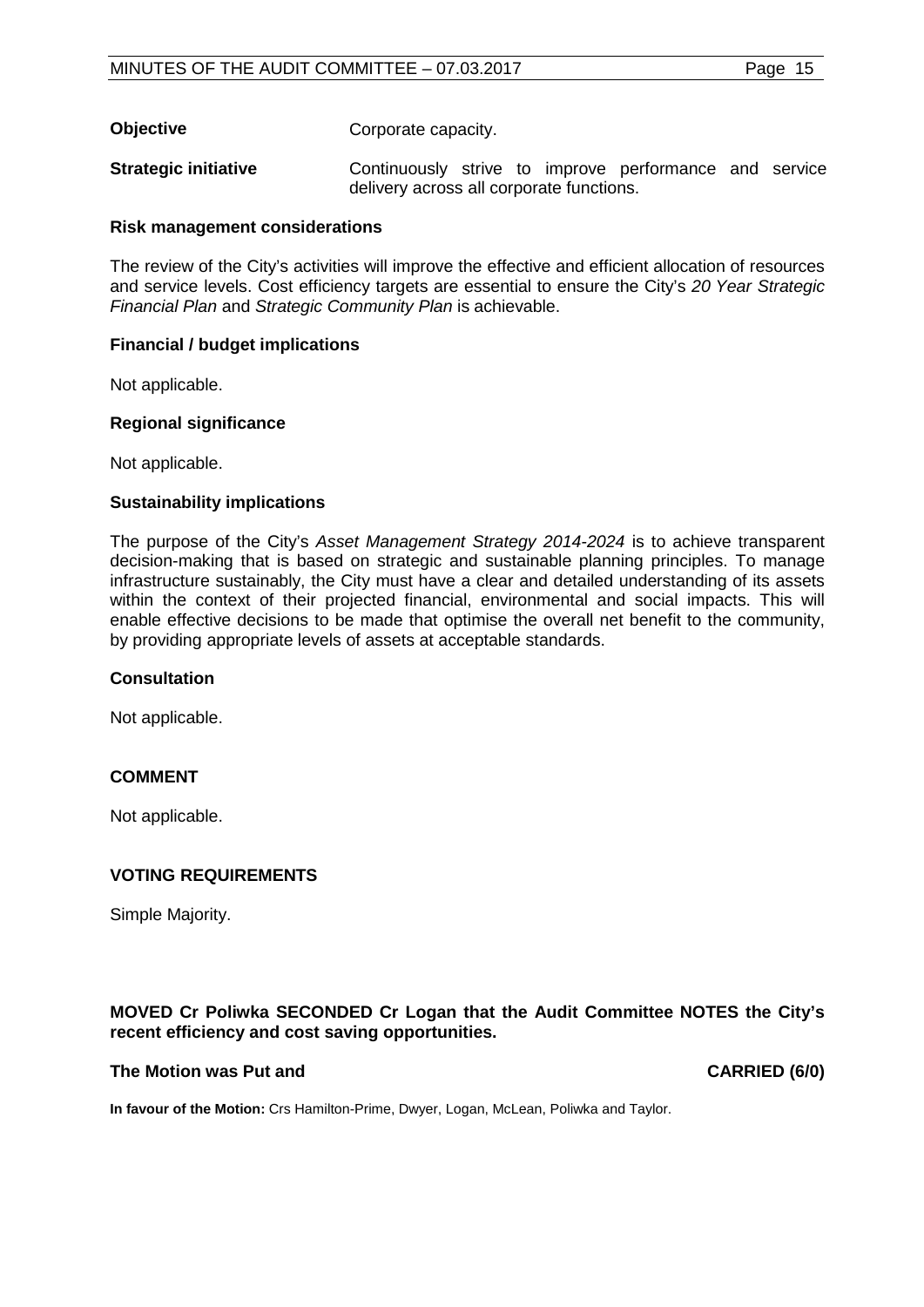**Objective** Corporate capacity.

**Strategic initiative Continuously** strive to improve performance and service delivery across all corporate functions.

## **Risk management considerations**

The review of the City's activities will improve the effective and efficient allocation of resources and service levels. Cost efficiency targets are essential to ensure the City's *20 Year Strategic Financial Plan* and *Strategic Community Plan* is achievable.

# **Financial / budget implications**

Not applicable.

## **Regional significance**

Not applicable.

## **Sustainability implications**

The purpose of the City's *Asset Management Strategy 2014-2024* is to achieve transparent decision-making that is based on strategic and sustainable planning principles. To manage infrastructure sustainably, the City must have a clear and detailed understanding of its assets within the context of their projected financial, environmental and social impacts. This will enable effective decisions to be made that optimise the overall net benefit to the community, by providing appropriate levels of assets at acceptable standards.

#### **Consultation**

Not applicable.

# **COMMENT**

Not applicable.

# **VOTING REQUIREMENTS**

Simple Majority.

## **MOVED Cr Poliwka SECONDED Cr Logan that the Audit Committee NOTES the City's recent efficiency and cost saving opportunities.**

#### **The Motion was Put and CARRIED (6/0)**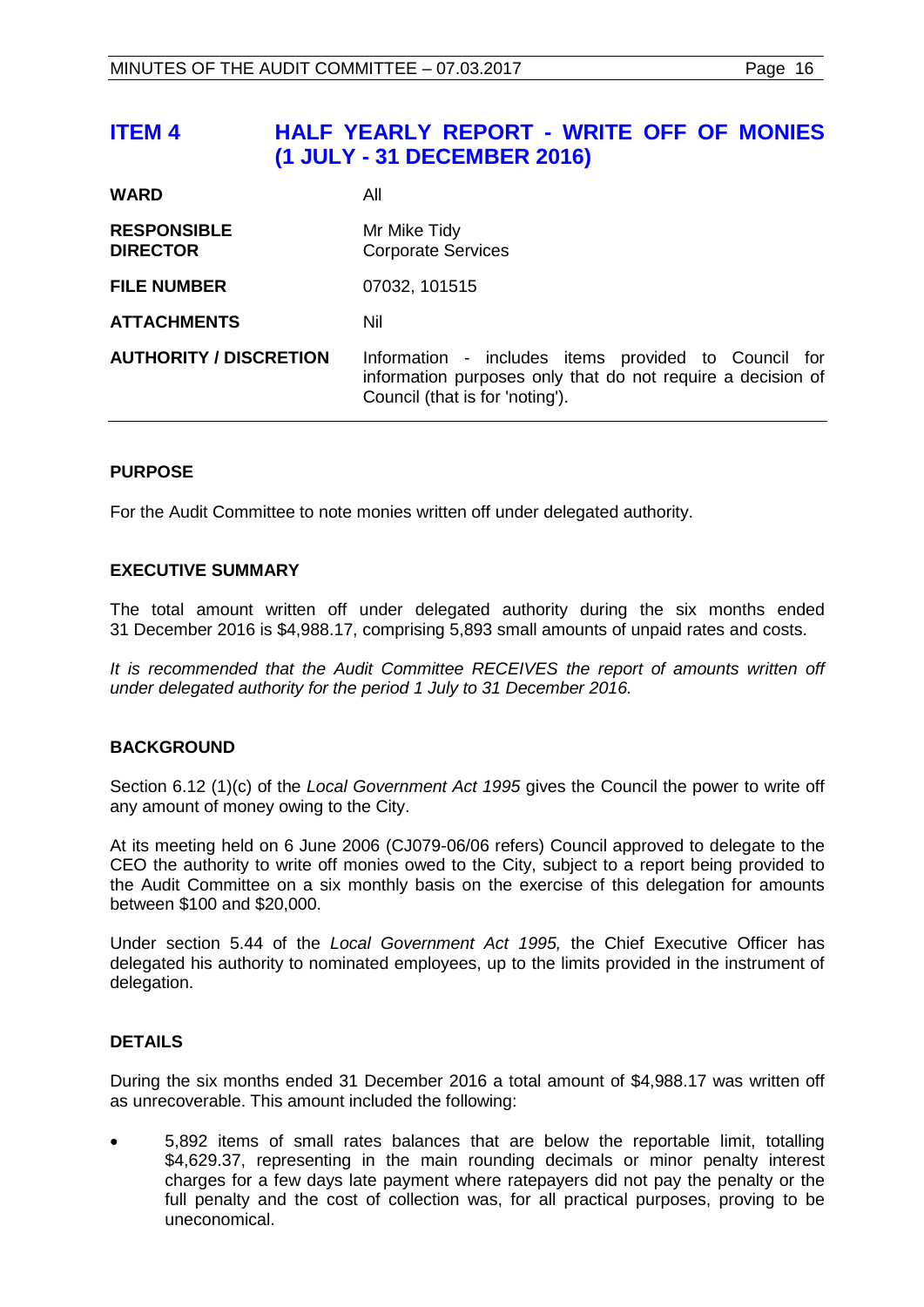<span id="page-15-0"></span>

|                                       | information purposes only that do not require a decision of<br>Council (that is for 'noting'). |
|---------------------------------------|------------------------------------------------------------------------------------------------|
| <b>AUTHORITY / DISCRETION</b>         | Information - includes items provided to Council for                                           |
| <b>ATTACHMENTS</b>                    | Nil                                                                                            |
| <b>FILE NUMBER</b>                    | 07032, 101515                                                                                  |
| <b>RESPONSIBLE</b><br><b>DIRECTOR</b> | Mr Mike Tidy<br><b>Corporate Services</b>                                                      |
| <b>WARD</b>                           | All                                                                                            |

## **PURPOSE**

For the Audit Committee to note monies written off under delegated authority.

## **EXECUTIVE SUMMARY**

The total amount written off under delegated authority during the six months ended 31 December 2016 is \$4,988.17, comprising 5,893 small amounts of unpaid rates and costs.

It is recommended that the Audit Committee RECEIVES the report of amounts written off *under delegated authority for the period 1 July to 31 December 2016.*

#### **BACKGROUND**

Section 6.12 (1)(c) of the *Local Government Act 1995* gives the Council the power to write off any amount of money owing to the City.

At its meeting held on 6 June 2006 (CJ079-06/06 refers) Council approved to delegate to the CEO the authority to write off monies owed to the City, subject to a report being provided to the Audit Committee on a six monthly basis on the exercise of this delegation for amounts between \$100 and \$20,000.

Under section 5.44 of the *Local Government Act 1995,* the Chief Executive Officer has delegated his authority to nominated employees, up to the limits provided in the instrument of delegation.

#### **DETAILS**

During the six months ended 31 December 2016 a total amount of \$4,988.17 was written off as unrecoverable. This amount included the following:

• 5,892 items of small rates balances that are below the reportable limit, totalling \$4,629.37, representing in the main rounding decimals or minor penalty interest charges for a few days late payment where ratepayers did not pay the penalty or the full penalty and the cost of collection was, for all practical purposes, proving to be uneconomical.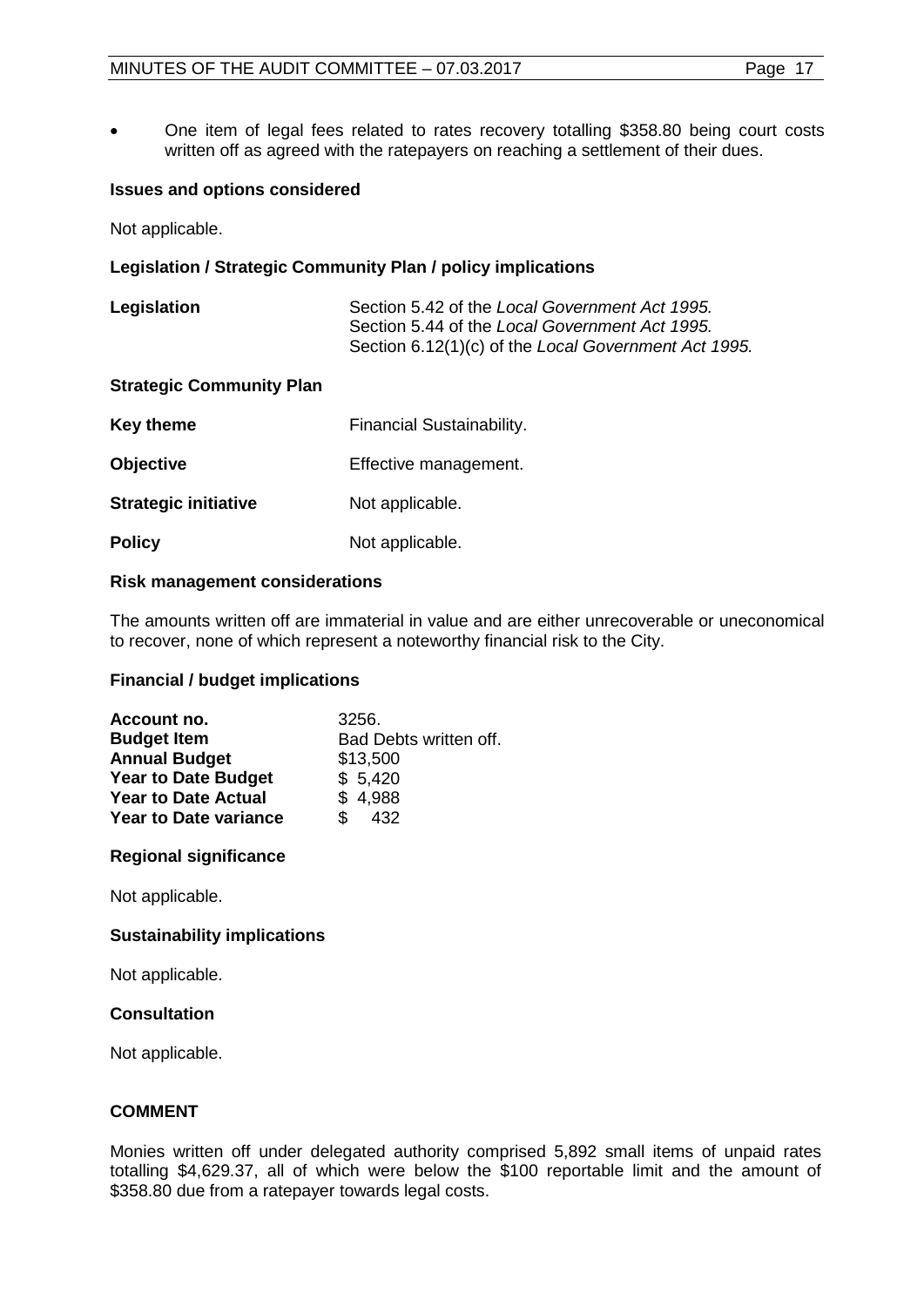• One item of legal fees related to rates recovery totalling \$358.80 being court costs written off as agreed with the ratepayers on reaching a settlement of their dues.

# **Issues and options considered**

Not applicable.

# **Legislation / Strategic Community Plan / policy implications**

| Legislation | Section 5.42 of the Local Government Act 1995.       |
|-------------|------------------------------------------------------|
|             | Section 5.44 of the Local Government Act 1995.       |
|             | Section 6.12(1)(c) of the Local Government Act 1995. |

## **Strategic Community Plan**

| Key theme                   | Financial Sustainability. |
|-----------------------------|---------------------------|
| <b>Objective</b>            | Effective management.     |
| <b>Strategic initiative</b> | Not applicable.           |
| <b>Policy</b>               | Not applicable.           |

## **Risk management considerations**

The amounts written off are immaterial in value and are either unrecoverable or uneconomical to recover, none of which represent a noteworthy financial risk to the City.

# **Financial / budget implications**

| Account no.                  | 3256.                  |
|------------------------------|------------------------|
| <b>Budget Item</b>           | Bad Debts written off. |
| <b>Annual Budget</b>         | \$13,500               |
| <b>Year to Date Budget</b>   | \$5,420                |
| <b>Year to Date Actual</b>   | \$4,988                |
| <b>Year to Date variance</b> | \$<br>432              |

# **Regional significance**

Not applicable.

# **Sustainability implications**

Not applicable.

# **Consultation**

Not applicable.

# **COMMENT**

Monies written off under delegated authority comprised 5,892 small items of unpaid rates totalling \$4,629.37, all of which were below the \$100 reportable limit and the amount of \$358.80 due from a ratepayer towards legal costs.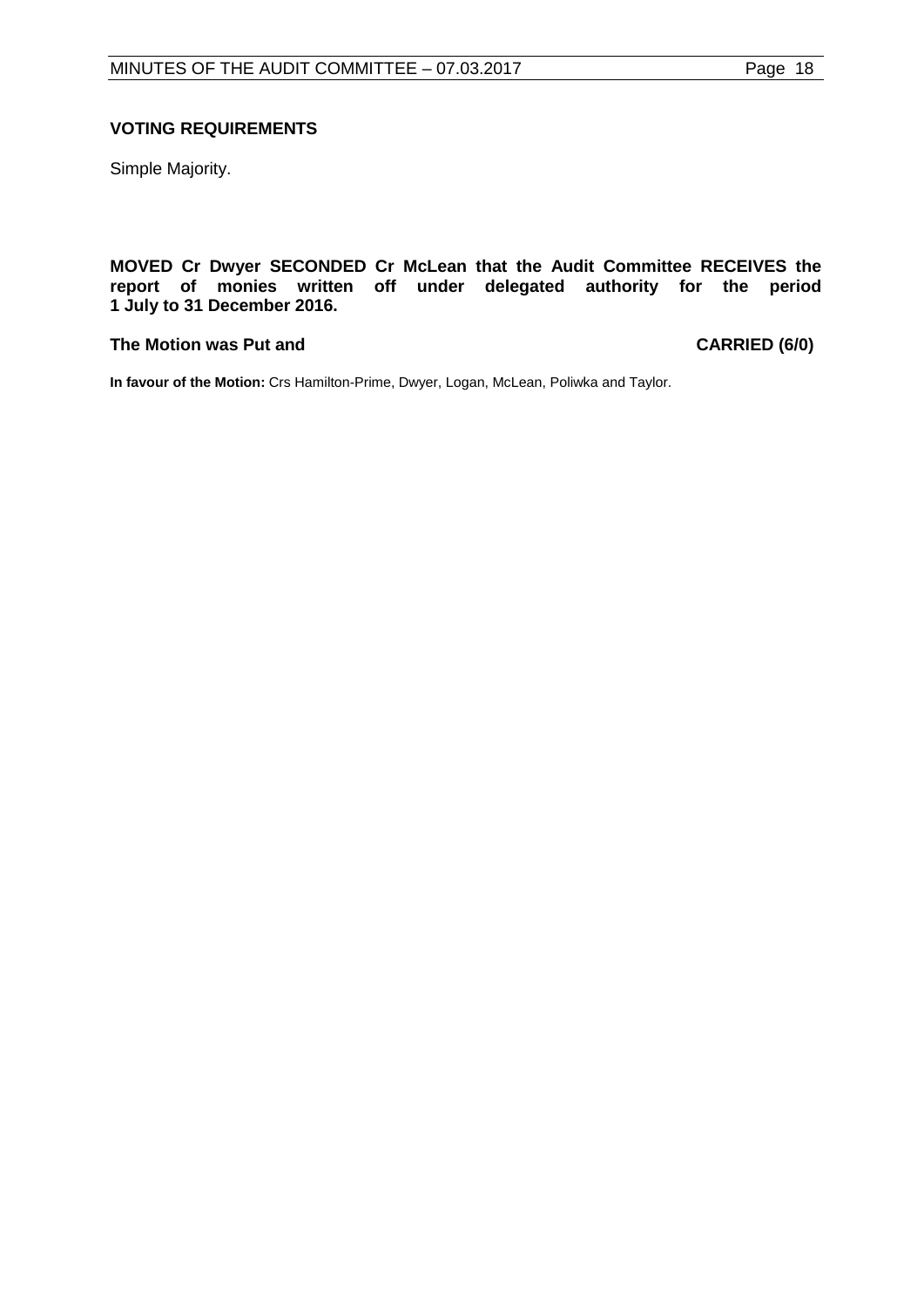Simple Majority.

**MOVED Cr Dwyer SECONDED Cr McLean that the Audit Committee RECEIVES the report of monies written off under delegated authority for the period 1 July to 31 December 2016.**

# **The Motion was Put and CARRIED (6/0)**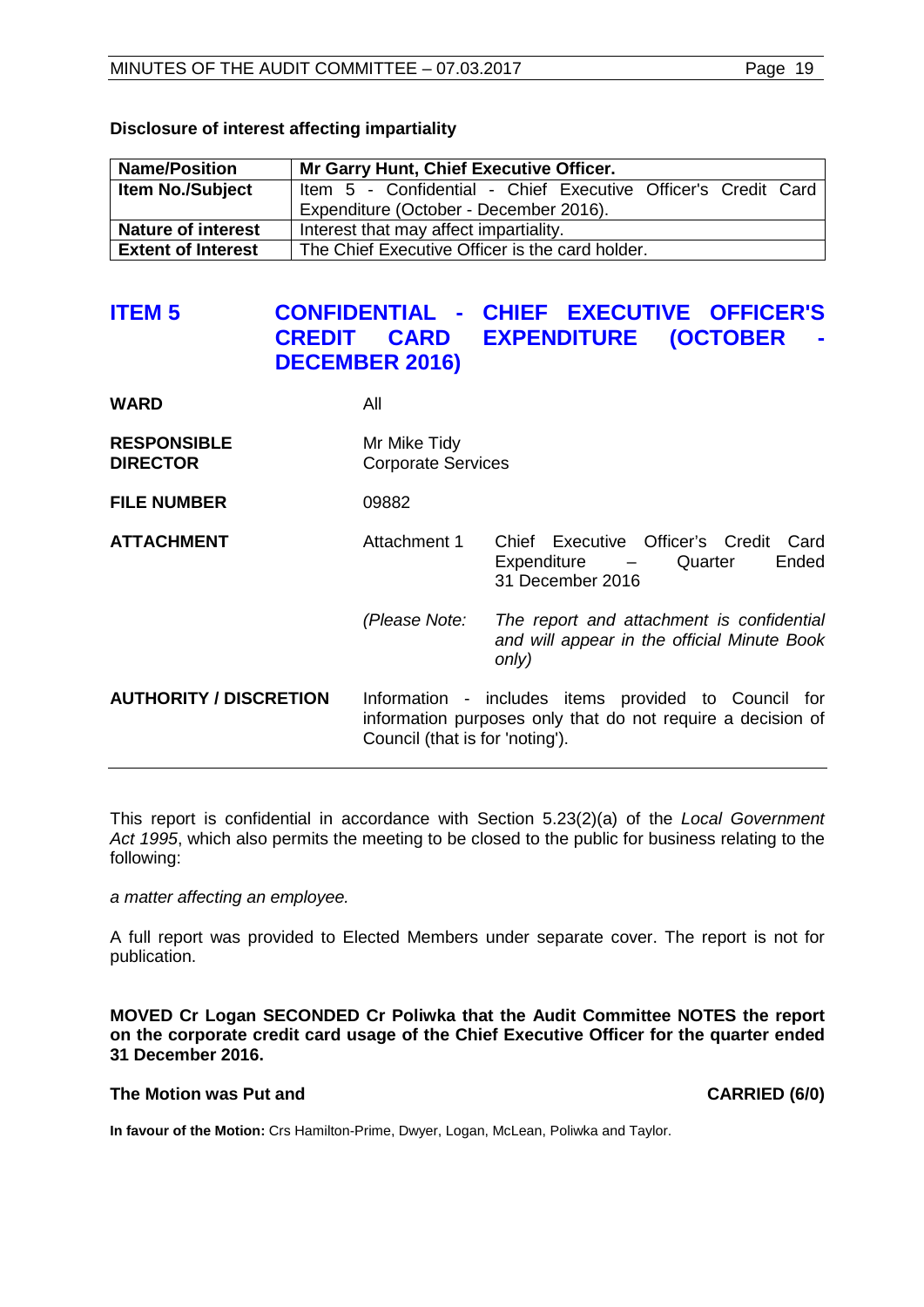| <b>Name/Position</b>      | Mr Garry Hunt, Chief Executive Officer.                       |
|---------------------------|---------------------------------------------------------------|
| <b>Item No./Subject</b>   | Item 5 - Confidential - Chief Executive Officer's Credit Card |
|                           | Expenditure (October - December 2016).                        |
| <b>Nature of interest</b> | Interest that may affect impartiality.                        |
| <b>Extent of Interest</b> | The Chief Executive Officer is the card holder.               |

# **Disclosure of interest affecting impartiality**

# <span id="page-18-0"></span>**ITEM 5 CONFIDENTIAL - CHIEF EXECUTIVE OFFICER'S CARD EXPENDITURE (OCTOBER -DECEMBER 2016)**

| <b>WARD</b>                           | All                                                                                                                                                    |                                                                                                   |
|---------------------------------------|--------------------------------------------------------------------------------------------------------------------------------------------------------|---------------------------------------------------------------------------------------------------|
| <b>RESPONSIBLE</b><br><b>DIRECTOR</b> | Mr Mike Tidy<br><b>Corporate Services</b>                                                                                                              |                                                                                                   |
| <b>FILE NUMBER</b>                    | 09882                                                                                                                                                  |                                                                                                   |
| <b>ATTACHMENT</b>                     | Attachment 1                                                                                                                                           | Chief Executive Officer's Credit<br>Card<br>Ended<br>Expenditure<br>Quarter<br>31 December 2016   |
|                                       | (Please Note:                                                                                                                                          | The report and attachment is confidential<br>and will appear in the official Minute Book<br>only) |
| <b>AUTHORITY / DISCRETION</b>         | Information - includes items provided to Council for<br>information purposes only that do not require a decision of<br>Council (that is for 'noting'). |                                                                                                   |

This report is confidential in accordance with Section 5.23(2)(a) of the *Local Government Act 1995*, which also permits the meeting to be closed to the public for business relating to the following:

*a matter affecting an employee.*

A full report was provided to Elected Members under separate cover. The report is not for publication.

**MOVED Cr Logan SECONDED Cr Poliwka that the Audit Committee NOTES the report on the corporate credit card usage of the Chief Executive Officer for the quarter ended 31 December 2016.**

#### **The Motion was Put and CARRIED (6/0)**